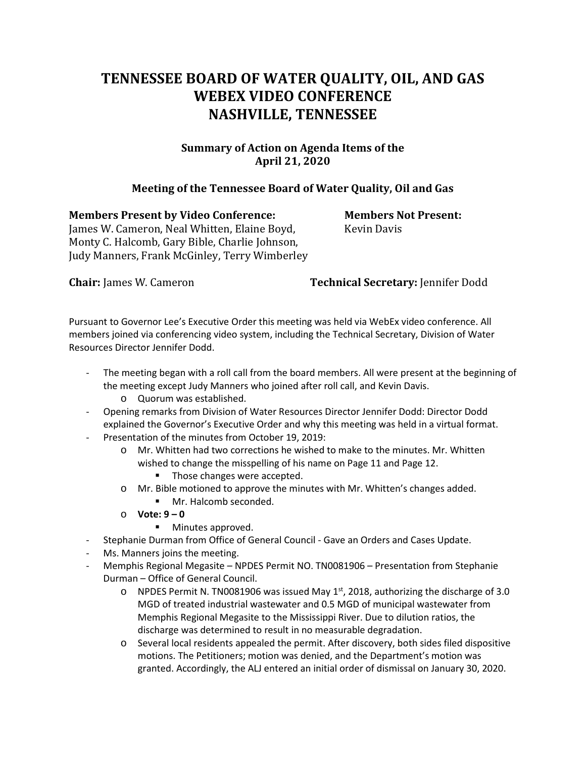## **TENNESSEE BOARD OF WATER QUALITY, OIL, AND GAS WEBEX VIDEO CONFERENCE NASHVILLE, TENNESSEE**

## **Summary of Action on Agenda Items of the April 21, 2020**

## **Meeting of the Tennessee Board of Water Quality, Oil and Gas**

**Members Present by Video Conference: Members Not Present:**  James W. Cameron, Neal Whitten, Elaine Boyd, Kevin Davis Monty C. Halcomb, Gary Bible, Charlie Johnson, Judy Manners, Frank McGinley, Terry Wimberley

**Chair:** James W. Cameron **Technical Secretary:** Jennifer Dodd

Pursuant to Governor Lee's Executive Order this meeting was held via WebEx video conference. All members joined via conferencing video system, including the Technical Secretary, Division of Water Resources Director Jennifer Dodd.

- The meeting began with a roll call from the board members. All were present at the beginning of the meeting except Judy Manners who joined after roll call, and Kevin Davis.
	- o Quorum was established.
- Opening remarks from Division of Water Resources Director Jennifer Dodd: Director Dodd explained the Governor's Executive Order and why this meeting was held in a virtual format.
- Presentation of the minutes from October 19, 2019:
	- o Mr. Whitten had two corrections he wished to make to the minutes. Mr. Whitten wished to change the misspelling of his name on Page 11 and Page 12.
		- Those changes were accepted.
	- o Mr. Bible motioned to approve the minutes with Mr. Whitten's changes added. **Mr.** Halcomb seconded.
	- o **Vote: 9 – 0** 
		- **Minutes approved.**
- Stephanie Durman from Office of General Council Gave an Orders and Cases Update.
- Ms. Manners joins the meeting.
- Memphis Regional Megasite NPDES Permit NO. TN0081906 Presentation from Stephanie Durman – Office of General Council.
	- $\circ$  NPDES Permit N. TN0081906 was issued May 1<sup>st</sup>, 2018, authorizing the discharge of 3.0 MGD of treated industrial wastewater and 0.5 MGD of municipal wastewater from Memphis Regional Megasite to the Mississippi River. Due to dilution ratios, the discharge was determined to result in no measurable degradation.
	- o Several local residents appealed the permit. After discovery, both sides filed dispositive motions. The Petitioners; motion was denied, and the Department's motion was granted. Accordingly, the ALJ entered an initial order of dismissal on January 30, 2020.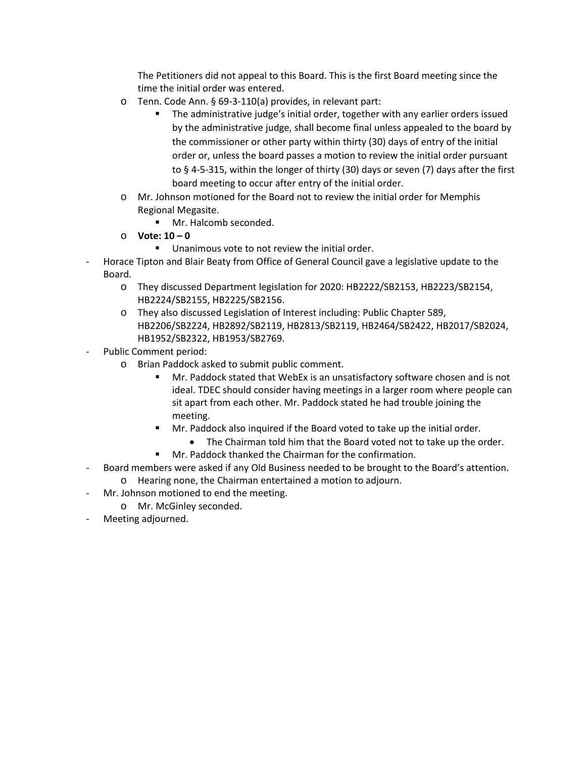The Petitioners did not appeal to this Board. This is the first Board meeting since the time the initial order was entered.

- o Tenn. Code Ann. § 69-3-110(a) provides, in relevant part:
	- The administrative judge's initial order, together with any earlier orders issued by the administrative judge, shall become final unless appealed to the board by the commissioner or other party within thirty (30) days of entry of the initial order or, unless the board passes a motion to review the initial order pursuant to § 4-5-315, within the longer of thirty (30) days or seven (7) days after the first board meeting to occur after entry of the initial order.
- o Mr. Johnson motioned for the Board not to review the initial order for Memphis Regional Megasite.
	- Mr. Halcomb seconded.
- o **Vote: 10 – 0** 
	- **Unanimous vote to not review the initial order.**
- Horace Tipton and Blair Beaty from Office of General Council gave a legislative update to the Board.
	- o They discussed Department legislation for 2020: HB2222/SB2153, HB2223/SB2154, HB2224/SB2155, HB2225/SB2156.
	- o They also discussed Legislation of Interest including: Public Chapter 589, HB2206/SB2224, HB2892/SB2119, HB2813/SB2119, HB2464/SB2422, HB2017/SB2024, HB1952/SB2322, HB1953/SB2769.
- Public Comment period:
	- o Brian Paddock asked to submit public comment.
		- Mr. Paddock stated that WebEx is an unsatisfactory software chosen and is not ideal. TDEC should consider having meetings in a larger room where people can sit apart from each other. Mr. Paddock stated he had trouble joining the meeting.
		- Mr. Paddock also inquired if the Board voted to take up the initial order.
			- The Chairman told him that the Board voted not to take up the order.
		- **Mr. Paddock thanked the Chairman for the confirmation.**
- Board members were asked if any Old Business needed to be brought to the Board's attention.
	- o Hearing none, the Chairman entertained a motion to adjourn.
- Mr. Johnson motioned to end the meeting.
	- o Mr. McGinley seconded.
- Meeting adjourned.